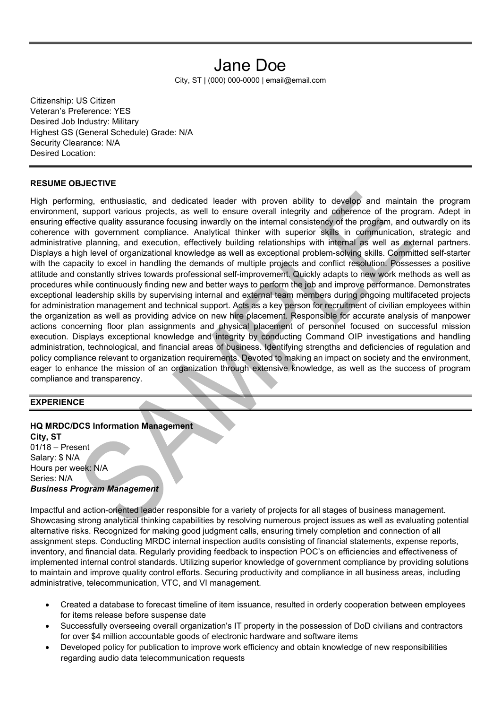## Jane Doe

City, ST | (000) 000-0000 | email@email.com

Citizenship: US Citizen Veteran's Preference: YES Desired Job Industry: Military Highest GS (General Schedule) Grade: N/A Security Clearance: N/A Desired Location:

## RESUME OBJECTIVE

High performing, enthusiastic, and dedicated leader with proven ability to develop and maintain the program environment, support various projects, as well to ensure overall integrity and coherence of the program. Adept in ensuring effective quality assurance focusing inwardly on the internal consistency of the program, and outwardly on its coherence with government compliance. Analytical thinker with superior skills in communication, strategic and administrative planning, and execution, effectively building relationships with internal as well as external partners. Displays a high level of organizational knowledge as well as exceptional problem-solving skills. Committed self-starter with the capacity to excel in handling the demands of multiple projects and conflict resolution. Possesses a positive attitude and constantly strives towards professional self-improvement. Quickly adapts to new work methods as well as procedures while continuously finding new and better ways to perform the job and improve performance. Demonstrates exceptional leadership skills by supervising internal and external team members during ongoing multifaceted projects for administration management and technical support. Acts as a key person for recruitment of civilian employees within the organization as well as providing advice on new hire placement. Responsible for accurate analysis of manpower actions concerning floor plan assignments and physical placement of personnel focused on successful mission execution. Displays exceptional knowledge and integrity by conducting Command OIP investigations and handling administration, technological, and financial areas of business. Identifying strengths and deficiencies of regulation and policy compliance relevant to organization requirements. Devoted to making an impact on society and the environment, eager to enhance the mission of an organization through extensive knowledge, as well as the success of program compliance and transparency.

## EXPERIENCE

HQ MRDC/DCS Information Management City, ST 01/18 – Present Salary: \$ N/A Hours per week: N/A Series: N/A Business Program Management

Impactful and action-oriented leader responsible for a variety of projects for all stages of business management. Showcasing strong analytical thinking capabilities by resolving numerous project issues as well as evaluating potential alternative risks. Recognized for making good judgment calls, ensuring timely completion and connection of all assignment steps. Conducting MRDC internal inspection audits consisting of financial statements, expense reports, inventory, and financial data. Regularly providing feedback to inspection POC's on efficiencies and effectiveness of implemented internal control standards. Utilizing superior knowledge of government compliance by providing solutions to maintain and improve quality control efforts. Securing productivity and compliance in all business areas, including administrative, telecommunication, VTC, and VI management.

- Created a database to forecast timeline of item issuance, resulted in orderly cooperation between employees for items release before suspense date
- Successfully overseeing overall organization's IT property in the possession of DoD civilians and contractors for over \$4 million accountable goods of electronic hardware and software items
- Developed policy for publication to improve work efficiency and obtain knowledge of new responsibilities regarding audio data telecommunication requests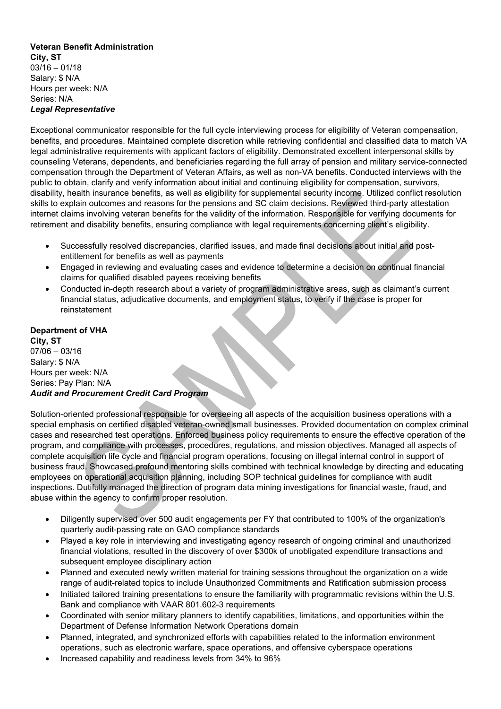## Veteran Benefit Administration City, ST  $03/16 - 01/18$ Salary: \$ N/A Hours per week: N/A Series: N/A Legal Representative

Exceptional communicator responsible for the full cycle interviewing process for eligibility of Veteran compensation, benefits, and procedures. Maintained complete discretion while retrieving confidential and classified data to match VA legal administrative requirements with applicant factors of eligibility. Demonstrated excellent interpersonal skills by counseling Veterans, dependents, and beneficiaries regarding the full array of pension and military service-connected compensation through the Department of Veteran Affairs, as well as non-VA benefits. Conducted interviews with the public to obtain, clarify and verify information about initial and continuing eligibility for compensation, survivors, disability, health insurance benefits, as well as eligibility for supplemental security income. Utilized conflict resolution skills to explain outcomes and reasons for the pensions and SC claim decisions. Reviewed third-party attestation internet claims involving veteran benefits for the validity of the information. Responsible for verifying documents for retirement and disability benefits, ensuring compliance with legal requirements concerning client's eligibility.

- Successfully resolved discrepancies, clarified issues, and made final decisions about initial and postentitlement for benefits as well as payments
- Engaged in reviewing and evaluating cases and evidence to determine a decision on continual financial claims for qualified disabled payees receiving benefits
- Conducted in-depth research about a variety of program administrative areas, such as claimant's current financial status, adjudicative documents, and employment status, to verify if the case is proper for reinstatement

Department of VHA City, ST 07/06 – 03/16 Salary: \$ N/A Hours per week: N/A Series: Pay Plan: N/A Audit and Procurement Credit Card Program

Solution-oriented professional responsible for overseeing all aspects of the acquisition business operations with a special emphasis on certified disabled veteran-owned small businesses. Provided documentation on complex criminal cases and researched test operations. Enforced business policy requirements to ensure the effective operation of the program, and compliance with processes, procedures, regulations, and mission objectives. Managed all aspects of complete acquisition life cycle and financial program operations, focusing on illegal internal control in support of business fraud. Showcased profound mentoring skills combined with technical knowledge by directing and educating employees on operational acquisition planning, including SOP technical guidelines for compliance with audit inspections. Dutifully managed the direction of program data mining investigations for financial waste, fraud, and abuse within the agency to confirm proper resolution.

- Diligently supervised over 500 audit engagements per FY that contributed to 100% of the organization's quarterly audit-passing rate on GAO compliance standards
- Played a key role in interviewing and investigating agency research of ongoing criminal and unauthorized financial violations, resulted in the discovery of over \$300k of unobligated expenditure transactions and subsequent employee disciplinary action
- Planned and executed newly written material for training sessions throughout the organization on a wide range of audit-related topics to include Unauthorized Commitments and Ratification submission process
- Initiated tailored training presentations to ensure the familiarity with programmatic revisions within the U.S. Bank and compliance with VAAR 801.602-3 requirements
- Coordinated with senior military planners to identify capabilities, limitations, and opportunities within the Department of Defense Information Network Operations domain
- Planned, integrated, and synchronized efforts with capabilities related to the information environment operations, such as electronic warfare, space operations, and offensive cyberspace operations
- Increased capability and readiness levels from 34% to 96%